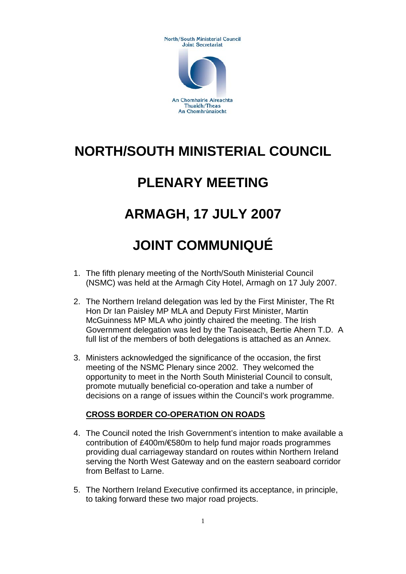**North/South Ministerial Council** Joint Secretariat



# **NORTH/SOUTH MINISTERIAL COUNCIL**

### **PLENARY MEETING**

## **ARMAGH, 17 JULY 2007**

# **JOINT COMMUNIQUÉ**

- 1. The fifth plenary meeting of the North/South Ministerial Council (NSMC) was held at the Armagh City Hotel, Armagh on 17 July 2007.
- 2. The Northern Ireland delegation was led by the First Minister, The Rt Hon Dr Ian Paisley MP MLA and Deputy First Minister, Martin McGuinness MP MLA who jointly chaired the meeting. The Irish Government delegation was led by the Taoiseach, Bertie Ahern T.D. A full list of the members of both delegations is attached as an Annex.
- 3. Ministers acknowledged the significance of the occasion, the first meeting of the NSMC Plenary since 2002. They welcomed the opportunity to meet in the North South Ministerial Council to consult, promote mutually beneficial co-operation and take a number of decisions on a range of issues within the Council's work programme.

### **CROSS BORDER CO-OPERATION ON ROADS**

- 4. The Council noted the Irish Government's intention to make available a contribution of £400m/€580m to help fund major roads programmes providing dual carriageway standard on routes within Northern Ireland serving the North West Gateway and on the eastern seaboard corridor from Belfast to Larne.
- 5. The Northern Ireland Executive confirmed its acceptance, in principle, to taking forward these two major road projects.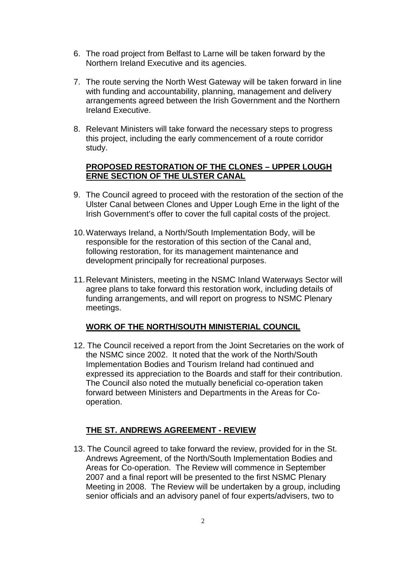- 6. The road project from Belfast to Larne will be taken forward by the Northern Ireland Executive and its agencies.
- 7. The route serving the North West Gateway will be taken forward in line with funding and accountability, planning, management and delivery arrangements agreed between the Irish Government and the Northern Ireland Executive.
- 8. Relevant Ministers will take forward the necessary steps to progress this project, including the early commencement of a route corridor study.

#### **PROPOSED RESTORATION OF THE CLONES – UPPER LOUGH ERNE SECTION OF THE ULSTER CANAL**

- 9. The Council agreed to proceed with the restoration of the section of the Ulster Canal between Clones and Upper Lough Erne in the light of the Irish Government's offer to cover the full capital costs of the project.
- 10.Waterways Ireland, a North/South Implementation Body, will be responsible for the restoration of this section of the Canal and, following restoration, for its management maintenance and development principally for recreational purposes.
- 11.Relevant Ministers, meeting in the NSMC Inland Waterways Sector will agree plans to take forward this restoration work, including details of funding arrangements, and will report on progress to NSMC Plenary meetings.

#### **WORK OF THE NORTH/SOUTH MINISTERIAL COUNCIL**

12. The Council received a report from the Joint Secretaries on the work of the NSMC since 2002. It noted that the work of the North/South Implementation Bodies and Tourism Ireland had continued and expressed its appreciation to the Boards and staff for their contribution. The Council also noted the mutually beneficial co-operation taken forward between Ministers and Departments in the Areas for Cooperation.

#### **THE ST. ANDREWS AGREEMENT - REVIEW**

13. The Council agreed to take forward the review, provided for in the St. Andrews Agreement, of the North/South Implementation Bodies and Areas for Co-operation. The Review will commence in September 2007 and a final report will be presented to the first NSMC Plenary Meeting in 2008. The Review will be undertaken by a group, including senior officials and an advisory panel of four experts/advisers, two to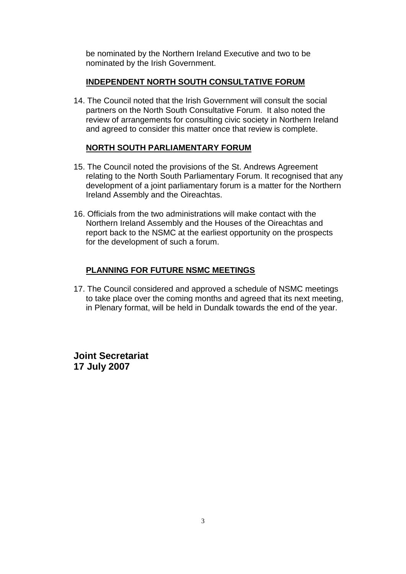be nominated by the Northern Ireland Executive and two to be nominated by the Irish Government.

#### **INDEPENDENT NORTH SOUTH CONSULTATIVE FORUM**

14. The Council noted that the Irish Government will consult the social partners on the North South Consultative Forum. It also noted the review of arrangements for consulting civic society in Northern Ireland and agreed to consider this matter once that review is complete.

#### **NORTH SOUTH PARLIAMENTARY FORUM**

- 15. The Council noted the provisions of the St. Andrews Agreement relating to the North South Parliamentary Forum. It recognised that any development of a joint parliamentary forum is a matter for the Northern Ireland Assembly and the Oireachtas.
- 16. Officials from the two administrations will make contact with the Northern Ireland Assembly and the Houses of the Oireachtas and report back to the NSMC at the earliest opportunity on the prospects for the development of such a forum.

#### **PLANNING FOR FUTURE NSMC MEETINGS**

17. The Council considered and approved a schedule of NSMC meetings to take place over the coming months and agreed that its next meeting, in Plenary format, will be held in Dundalk towards the end of the year.

**Joint Secretariat 17 July 2007**